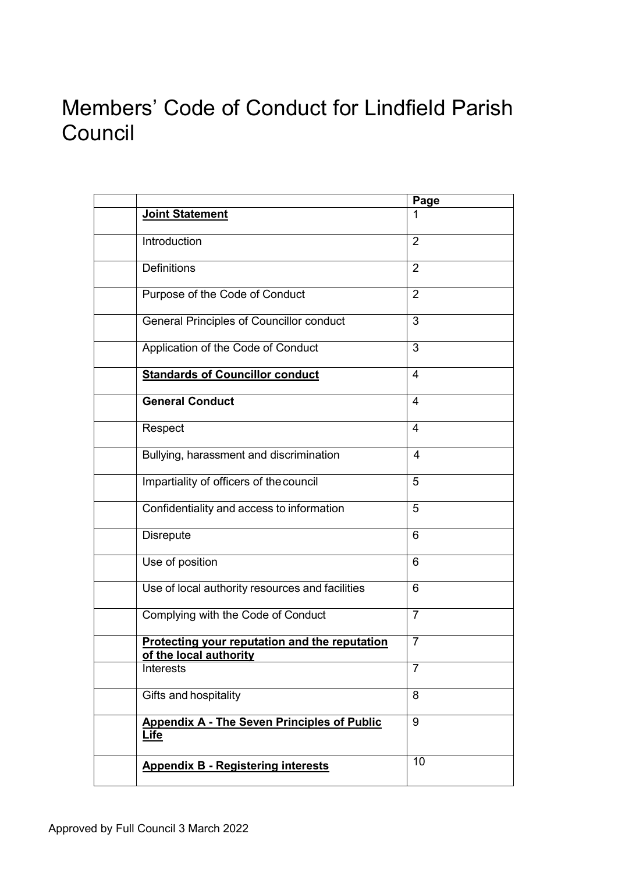# Members' Code of Conduct for Lindfield Parish **Council**

|                                                                         | Page                    |
|-------------------------------------------------------------------------|-------------------------|
| Joint Statement                                                         |                         |
| Introduction                                                            | $\overline{2}$          |
| <b>Definitions</b>                                                      | $\overline{2}$          |
| Purpose of the Code of Conduct                                          | $\overline{2}$          |
| <b>General Principles of Councillor conduct</b>                         | 3                       |
| Application of the Code of Conduct                                      | 3                       |
| <b>Standards of Councillor conduct</b>                                  | $\overline{\mathbf{4}}$ |
| <b>General Conduct</b>                                                  | 4                       |
| Respect                                                                 | $\overline{4}$          |
| Bullying, harassment and discrimination                                 | 4                       |
| Impartiality of officers of the council                                 | 5                       |
| Confidentiality and access to information                               | 5                       |
| <b>Disrepute</b>                                                        | 6                       |
| Use of position                                                         | 6                       |
| Use of local authority resources and facilities                         | 6                       |
| Complying with the Code of Conduct                                      | $\overline{7}$          |
| Protecting your reputation and the reputation<br>of the local authority | $\overline{7}$          |
| Interests                                                               | $\overline{7}$          |
| Gifts and hospitality                                                   | 8                       |
| <b>Appendix A - The Seven Principles of Public</b><br><b>Life</b>       | 9                       |
| <b>Appendix B - Registering interests</b>                               | 10                      |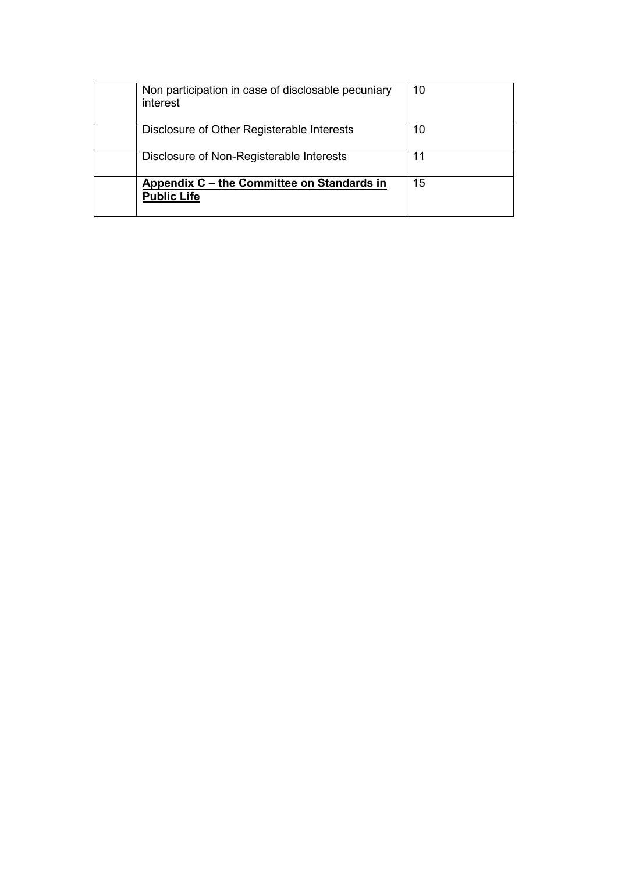| Non participation in case of disclosable pecuniary<br>interest   | 10 |
|------------------------------------------------------------------|----|
| Disclosure of Other Registerable Interests                       | 10 |
| Disclosure of Non-Registerable Interests                         | 11 |
| Appendix C – the Committee on Standards in<br><b>Public Life</b> | 15 |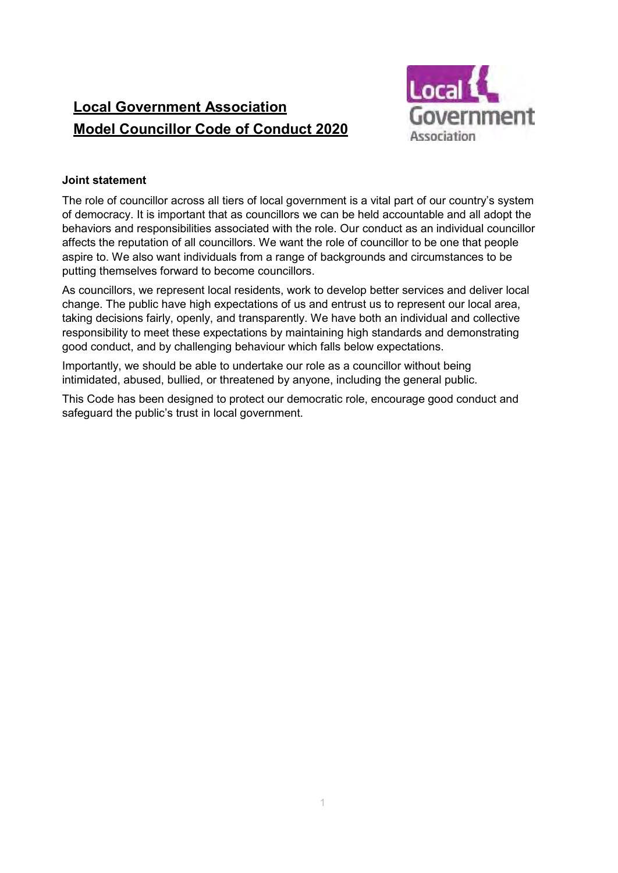# **Local Government Association Model Councillor Code of Conduct 2020**



#### **Joint statement**

The role of councillor across all tiers of local government is a vital part of our country's system of democracy. It is important that as councillors we can be held accountable and all adopt the behaviors and responsibilities associated with the role. Our conduct as an individual councillor affects the reputation of all councillors. We want the role of councillor to be one that people aspire to. We also want individuals from a range of backgrounds and circumstances to be putting themselves forward to become councillors.

As councillors, we represent local residents, work to develop better services and deliver local change. The public have high expectations of us and entrust us to represent our local area, taking decisions fairly, openly, and transparently. We have both an individual and collective responsibility to meet these expectations by maintaining high standards and demonstrating good conduct, and by challenging behaviour which falls below expectations.

Importantly, we should be able to undertake our role as a councillor without being intimidated, abused, bullied, or threatened by anyone, including the general public.

This Code has been designed to protect our democratic role, encourage good conduct and safeguard the public's trust in local government.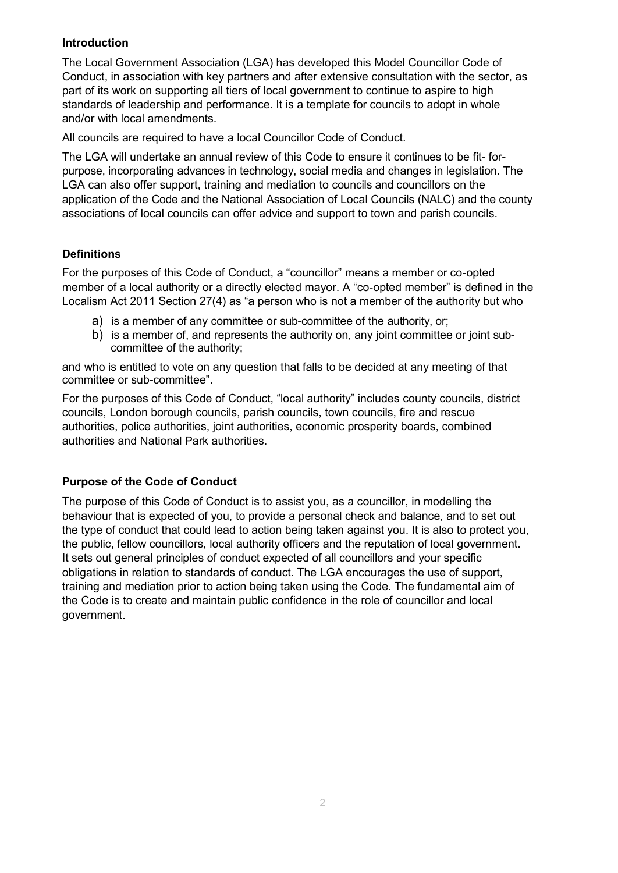#### **Introduction**

The Local Government Association (LGA) has developed this Model Councillor Code of Conduct, in association with key partners and after extensive consultation with the sector, as part of its work on supporting all tiers of local government to continue to aspire to high standards of leadership and performance. It is a template for councils to adopt in whole and/or with local amendments.

All councils are required to have a local Councillor Code of Conduct.

The LGA will undertake an annual review of this Code to ensure it continues to be fit- forpurpose, incorporating advances in technology, social media and changes in legislation. The LGA can also offer support, training and mediation to councils and councillors on the application of the Code and the National Association of Local Councils (NALC) and the county associations of local councils can offer advice and support to town and parish councils.

## **Definitions**

For the purposes of this Code of Conduct, a "councillor" means a member or co-opted member of a local authority or a directly elected mayor. A "co-opted member" is defined in the Localism Act 2011 Section 27(4) as "a person who is not a member of the authority but who

- a) is a member of any committee or sub-committee of the authority, or;
- b) is a member of, and represents the authority on, any joint committee or joint subcommittee of the authority;

and who is entitled to vote on any question that falls to be decided at any meeting of that committee or sub-committee".

For the purposes of this Code of Conduct, "local authority" includes county councils, district councils, London borough councils, parish councils, town councils, fire and rescue authorities, police authorities, joint authorities, economic prosperity boards, combined authorities and National Park authorities.

#### **Purpose of the Code of Conduct**

The purpose of this Code of Conduct is to assist you, as a councillor, in modelling the behaviour that is expected of you, to provide a personal check and balance, and to set out the type of conduct that could lead to action being taken against you. It is also to protect you, the public, fellow councillors, local authority officers and the reputation of local government. It sets out general principles of conduct expected of all councillors and your specific obligations in relation to standards of conduct. The LGA encourages the use of support, training and mediation prior to action being taken using the Code. The fundamental aim of the Code is to create and maintain public confidence in the role of councillor and local government.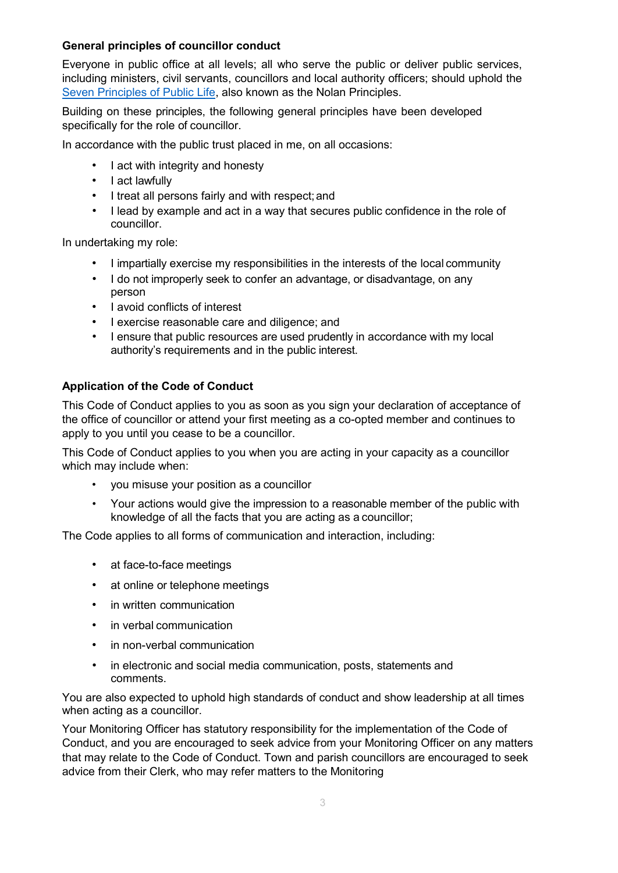#### **General principles of councillor conduct**

Everyone in public office at all levels; all who serve the public or deliver public services, including ministers, civil servants, councillors and local authority officers; should uphold the [Seven Principles of Public Life, a](https://www.gov.uk/government/publications/the-7-principles-of-public-life/the-7-principles-of-public-life--2)lso known as the Nolan Principles.

Building on these principles, the following general principles have been developed specifically for the role of councillor.

In accordance with the public trust placed in me, on all occasions:

- I act with integrity and honesty
- I act lawfully
- I treat all persons fairly and with respect;and
- I lead by example and act in a way that secures public confidence in the role of councillor.

In undertaking my role:

- I impartially exercise my responsibilities in the interests of the local community
- I do not improperly seek to confer an advantage, or disadvantage, on any person
- I avoid conflicts of interest
- I exercise reasonable care and diligence; and
- I ensure that public resources are used prudently in accordance with my local authority's requirements and in the public interest.

#### **Application of the Code of Conduct**

This Code of Conduct applies to you as soon as you sign your declaration of acceptance of the office of councillor or attend your first meeting as a co-opted member and continues to apply to you until you cease to be a councillor.

This Code of Conduct applies to you when you are acting in your capacity as a councillor which may include when:

- you misuse your position as a councillor
- Your actions would give the impression to a reasonable member of the public with knowledge of all the facts that you are acting as a councillor;

The Code applies to all forms of communication and interaction, including:

- at face-to-face meetings
- at online or telephone meetings
- in written communication
- in verbal communication
- in non-verbal communication
- in electronic and social media communication, posts, statements and comments.

You are also expected to uphold high standards of conduct and show leadership at all times when acting as a councillor.

Your Monitoring Officer has statutory responsibility for the implementation of the Code of Conduct, and you are encouraged to seek advice from your Monitoring Officer on any matters that may relate to the Code of Conduct. Town and parish councillors are encouraged to seek advice from their Clerk, who may refer matters to the Monitoring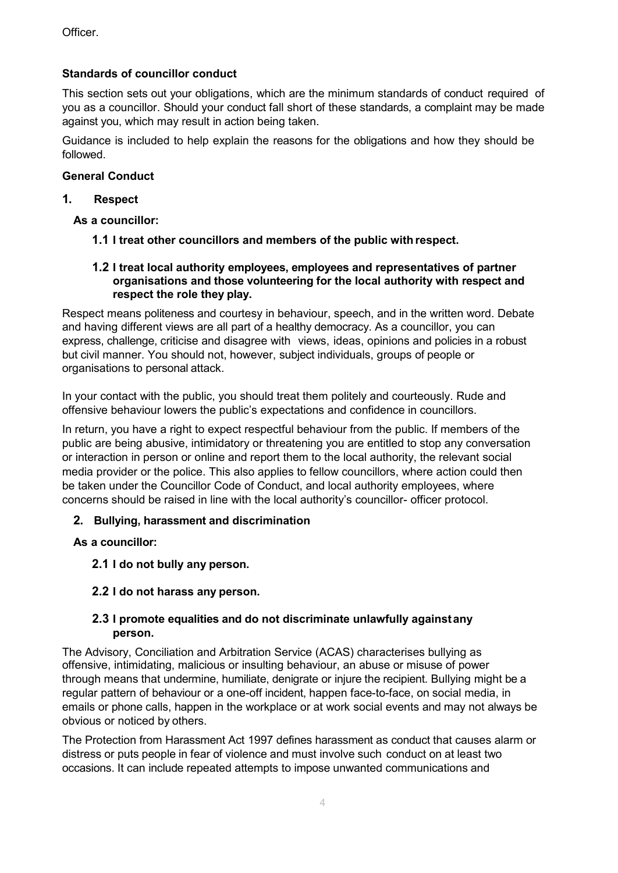Officer.

#### **Standards of councillor conduct**

This section sets out your obligations, which are the minimum standards of conduct required of you as a councillor. Should your conduct fall short of these standards, a complaint may be made against you, which may result in action being taken.

Guidance is included to help explain the reasons for the obligations and how they should be followed.

#### **General Conduct**

#### **1. Respect**

**As a councillor:** 

- **1.1 I treat other councillors and members of the public with respect.**
- **1.2 I treat local authority employees, employees and representatives of partner organisations and those volunteering for the local authority with respect and respect the role they play.**

Respect means politeness and courtesy in behaviour, speech, and in the written word. Debate and having different views are all part of a healthy democracy. As a councillor, you can express, challenge, criticise and disagree with views, ideas, opinions and policies in a robust but civil manner. You should not, however, subject individuals, groups of people or organisations to personal attack.

In your contact with the public, you should treat them politely and courteously. Rude and offensive behaviour lowers the public's expectations and confidence in councillors.

In return, you have a right to expect respectful behaviour from the public. If members of the public are being abusive, intimidatory or threatening you are entitled to stop any conversation or interaction in person or online and report them to the local authority, the relevant social media provider or the police. This also applies to fellow councillors, where action could then be taken under the Councillor Code of Conduct, and local authority employees, where concerns should be raised in line with the local authority's councillor- officer protocol.

#### **2. Bullying, harassment and discrimination**

**As a councillor:**

**2.1 I do not bully any person.**

#### **2.2 I do not harass any person.**

#### **2.3 I promote equalities and do not discriminate unlawfully againstany person.**

The Advisory, Conciliation and Arbitration Service (ACAS) characterises bullying as offensive, intimidating, malicious or insulting behaviour, an abuse or misuse of power through means that undermine, humiliate, denigrate or injure the recipient. Bullying might be a regular pattern of behaviour or a one-off incident, happen face-to-face, on social media, in emails or phone calls, happen in the workplace or at work social events and may not always be obvious or noticed by others.

The Protection from Harassment Act 1997 defines harassment as conduct that causes alarm or distress or puts people in fear of violence and must involve such conduct on at least two occasions. It can include repeated attempts to impose unwanted communications and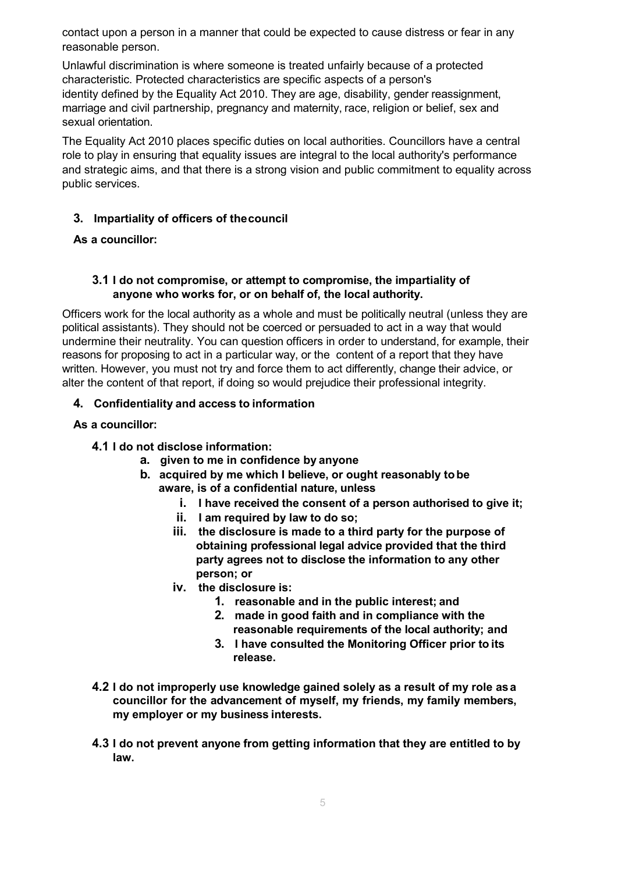contact upon a person in a manner that could be expected to cause distress or fear in any reasonable person.

Unlawful discrimination is where someone is treated unfairly because of a protected characteristic. Protected characteristics are specific aspects of a person's identity defined by the Equality Act 2010. They are age, disability, gender reassignment, marriage and civil partnership, pregnancy and maternity, race, religion or belief, sex and sexual orientation.

The Equality Act 2010 places specific duties on local authorities. Councillors have a central role to play in ensuring that equality issues are integral to the local authority's performance and strategic aims, and that there is a strong vision and public commitment to equality across public services.

#### **3. Impartiality of officers of thecouncil**

#### **As a councillor:**

#### **3.1 I do not compromise, or attempt to compromise, the impartiality of anyone who works for, or on behalf of, the local authority.**

Officers work for the local authority as a whole and must be politically neutral (unless they are political assistants). They should not be coerced or persuaded to act in a way that would undermine their neutrality. You can question officers in order to understand, for example, their reasons for proposing to act in a particular way, or the content of a report that they have written. However, you must not try and force them to act differently, change their advice, or alter the content of that report, if doing so would prejudice their professional integrity.

#### **4. Confidentiality and access to information**

#### **As a councillor:**

#### **4.1 I do not disclose information:**

- **a. given to me in confidence by anyone**
- **b. acquired by me which I believe, or ought reasonably tobe aware, is of a confidential nature, unless**
	- **i. I have received the consent of a person authorised to give it;**
	- **ii. I am required by law to do so;**
	- **iii. the disclosure is made to a third party for the purpose of obtaining professional legal advice provided that the third party agrees not to disclose the information to any other person; or**
	- **iv. the disclosure is:**
		- **1. reasonable and in the public interest; and**
		- **2. made in good faith and in compliance with the reasonable requirements of the local authority; and**
		- **3. I have consulted the Monitoring Officer prior to its release.**
- **4.2 I do not improperly use knowledge gained solely as a result of my role asa councillor for the advancement of myself, my friends, my family members, my employer or my business interests.**
- **4.3 I do not prevent anyone from getting information that they are entitled to by law.**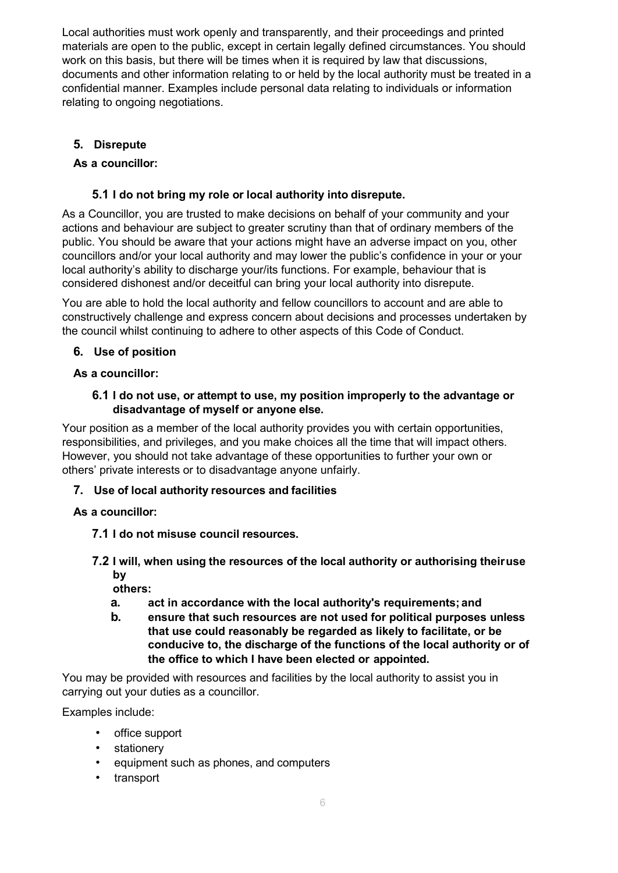Local authorities must work openly and transparently, and their proceedings and printed materials are open to the public, except in certain legally defined circumstances. You should work on this basis, but there will be times when it is required by law that discussions, documents and other information relating to or held by the local authority must be treated in a confidential manner. Examples include personal data relating to individuals or information relating to ongoing negotiations.

# **5. Disrepute**

# **As a councillor:**

# **5.1 I do not bring my role or local authority into disrepute.**

As a Councillor, you are trusted to make decisions on behalf of your community and your actions and behaviour are subject to greater scrutiny than that of ordinary members of the public. You should be aware that your actions might have an adverse impact on you, other councillors and/or your local authority and may lower the public's confidence in your or your local authority's ability to discharge your/its functions. For example, behaviour that is considered dishonest and/or deceitful can bring your local authority into disrepute.

You are able to hold the local authority and fellow councillors to account and are able to constructively challenge and express concern about decisions and processes undertaken by the council whilst continuing to adhere to other aspects of this Code of Conduct.

# **6. Use of position**

# **As a councillor:**

#### **6.1 I do not use, or attempt to use, my position improperly to the advantage or disadvantage of myself or anyone else.**

Your position as a member of the local authority provides you with certain opportunities, responsibilities, and privileges, and you make choices all the time that will impact others. However, you should not take advantage of these opportunities to further your own or others' private interests or to disadvantage anyone unfairly.

# **7. Use of local authority resources and facilities**

# **As a councillor:**

- **7.1 I do not misuse council resources.**
- **7.2 I will, when using the resources of the local authority or authorising theiruse by**

**others:** 

- **a. act in accordance with the local authority's requirements; and**
- **b. ensure that such resources are not used for political purposes unless that use could reasonably be regarded as likely to facilitate, or be conducive to, the discharge of the functions of the local authority or of the office to which I have been elected or appointed.**

You may be provided with resources and facilities by the local authority to assist you in carrying out your duties as a councillor.

Examples include:

- office support
- stationery
- equipment such as phones, and computers
- transport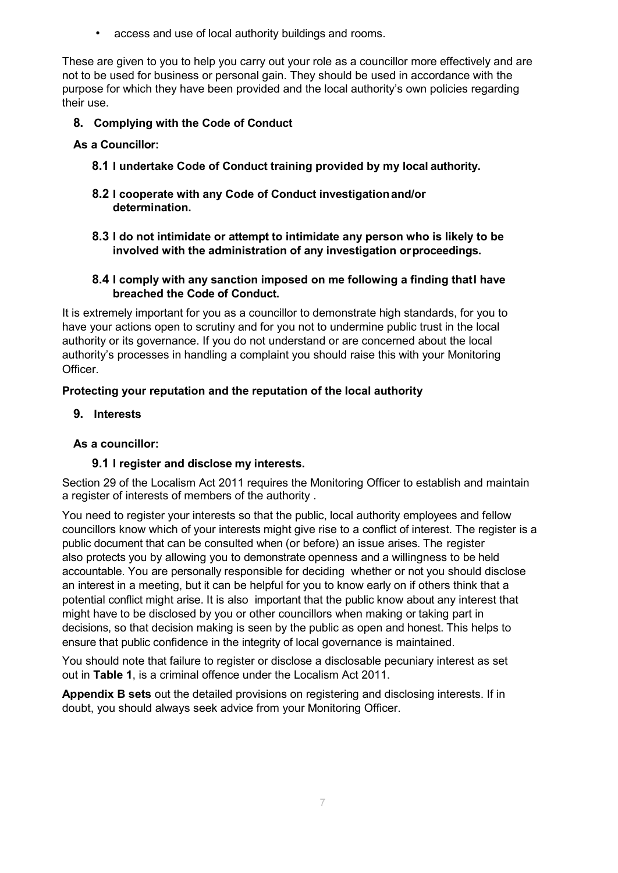• access and use of local authority buildings and rooms.

These are given to you to help you carry out your role as a councillor more effectively and are not to be used for business or personal gain. They should be used in accordance with the purpose for which they have been provided and the local authority's own policies regarding their use.

# **8. Complying with the Code of Conduct**

- **As a Councillor:**
	- **8.1 I undertake Code of Conduct training provided by my local authority.**
	- **8.2 I cooperate with any Code of Conduct investigationand/or determination.**
	- **8.3 I do not intimidate or attempt to intimidate any person who is likely to be involved with the administration of any investigation orproceedings.**

#### **8.4 I comply with any sanction imposed on me following a finding thatI have breached the Code of Conduct.**

It is extremely important for you as a councillor to demonstrate high standards, for you to have your actions open to scrutiny and for you not to undermine public trust in the local authority or its governance. If you do not understand or are concerned about the local authority's processes in handling a complaint you should raise this with your Monitoring Officer.

## **Protecting your reputation and the reputation of the local authority**

**9. Interests**

#### **As a councillor:**

#### **9.1 I register and disclose my interests.**

Section 29 of the Localism Act 2011 requires the Monitoring Officer to establish and maintain a register of interests of members of the authority .

You need to register your interests so that the public, local authority employees and fellow councillors know which of your interests might give rise to a conflict of interest. The register is a public document that can be consulted when (or before) an issue arises. The register also protects you by allowing you to demonstrate openness and a willingness to be held accountable. You are personally responsible for deciding whether or not you should disclose an interest in a meeting, but it can be helpful for you to know early on if others think that a potential conflict might arise. It is also important that the public know about any interest that might have to be disclosed by you or other councillors when making or taking part in decisions, so that decision making is seen by the public as open and honest. This helps to ensure that public confidence in the integrity of local governance is maintained.

You should note that failure to register or disclose a disclosable pecuniary interest as set out in **Table 1**, is a criminal offence under the Localism Act 2011.

**Appendix B sets** out the detailed provisions on registering and disclosing interests. If in doubt, you should always seek advice from your Monitoring Officer.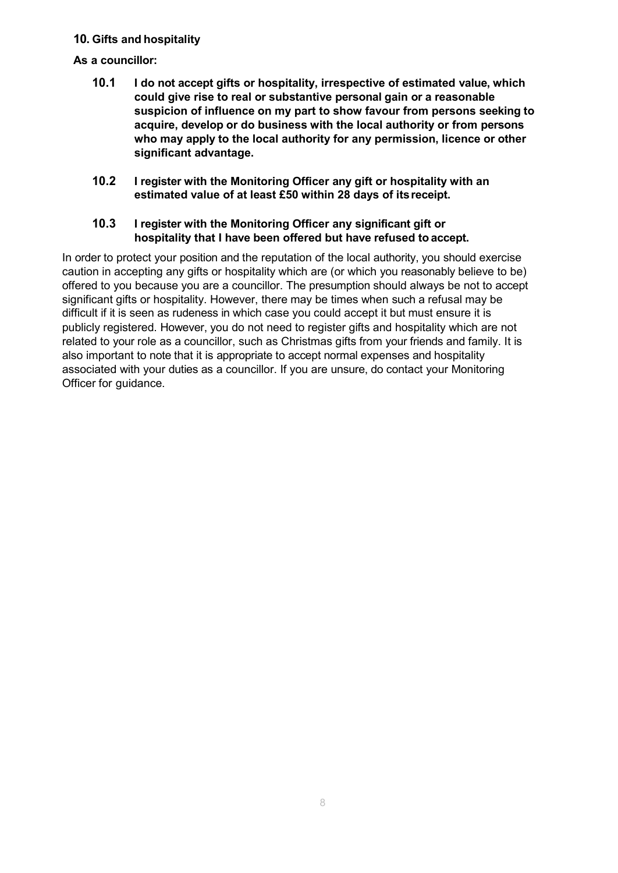#### **10. Gifts and hospitality**

#### **As a councillor:**

- **10.1 I do not accept gifts or hospitality, irrespective of estimated value, which could give rise to real or substantive personal gain or a reasonable suspicion of influence on my part to show favour from persons seeking to acquire, develop or do business with the local authority or from persons who may apply to the local authority for any permission, licence or other significant advantage.**
- **10.2 I register with the Monitoring Officer any gift or hospitality with an estimated value of at least £50 within 28 days of itsreceipt.**

#### **10.3 I register with the Monitoring Officer any significant gift or hospitality that I have been offered but have refused to accept.**

In order to protect your position and the reputation of the local authority, you should exercise caution in accepting any gifts or hospitality which are (or which you reasonably believe to be) offered to you because you are a councillor. The presumption should always be not to accept significant gifts or hospitality. However, there may be times when such a refusal may be difficult if it is seen as rudeness in which case you could accept it but must ensure it is publicly registered. However, you do not need to register gifts and hospitality which are not related to your role as a councillor, such as Christmas gifts from your friends and family. It is also important to note that it is appropriate to accept normal expenses and hospitality associated with your duties as a councillor. If you are unsure, do contact your Monitoring Officer for guidance.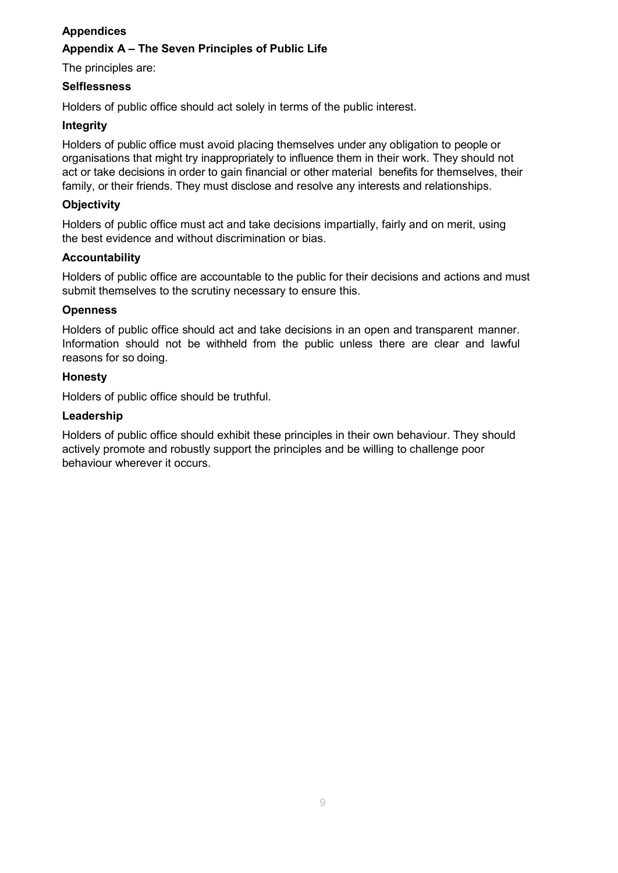# **Appendices Appendix A – The Seven Principles of Public Life**

The principles are:

#### **Selflessness**

Holders of public office should act solely in terms of the public interest.

#### **Integrity**

Holders of public office must avoid placing themselves under any obligation to people or organisations that might try inappropriately to influence them in their work. They should not act or take decisions in order to gain financial or other material benefits for themselves, their family, or their friends. They must disclose and resolve any interests and relationships.

#### **Objectivity**

Holders of public office must act and take decisions impartially, fairly and on merit, using the best evidence and without discrimination or bias.

#### **Accountability**

Holders of public office are accountable to the public for their decisions and actions and must submit themselves to the scrutiny necessary to ensure this.

#### **Openness**

Holders of public office should act and take decisions in an open and transparent manner. Information should not be withheld from the public unless there are clear and lawful reasons for so doing.

#### **Honesty**

Holders of public office should be truthful.

#### **Leadership**

Holders of public office should exhibit these principles in their own behaviour. They should actively promote and robustly support the principles and be willing to challenge poor behaviour wherever it occurs.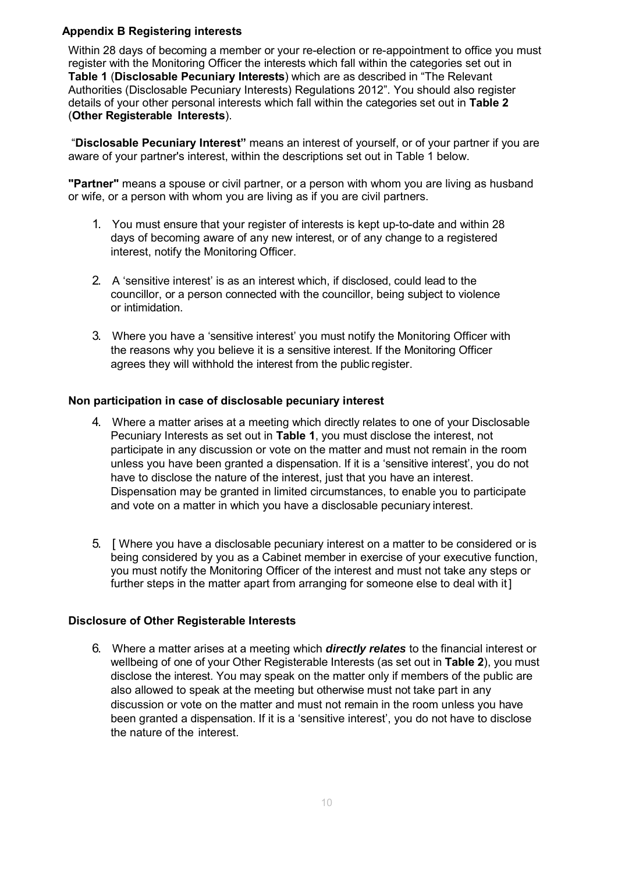#### **Appendix B Registering interests**

Within 28 days of becoming a member or your re-election or re-appointment to office you must register with the Monitoring Officer the interests which fall within the categories set out in **Table 1** (**Disclosable Pecuniary Interests**) which are as described in "The Relevant Authorities (Disclosable Pecuniary Interests) Regulations 2012". You should also register details of your other personal interests which fall within the categories set out in **Table 2**  (**Other Registerable Interests**).

"**Disclosable Pecuniary Interest"** means an interest of yourself, or of your partner if you are aware of your partner's interest, within the descriptions set out in Table 1 below.

**"Partner"** means a spouse or civil partner, or a person with whom you are living as husband or wife, or a person with whom you are living as if you are civil partners.

- 1. You must ensure that your register of interests is kept up-to-date and within 28 days of becoming aware of any new interest, or of any change to a registered interest, notify the Monitoring Officer.
- 2. A 'sensitive interest' is as an interest which, if disclosed, could lead to the councillor, or a person connected with the councillor, being subject to violence or intimidation.
- 3. Where you have a 'sensitive interest' you must notify the Monitoring Officer with the reasons why you believe it is a sensitive interest. If the Monitoring Officer agrees they will withhold the interest from the public register.

#### **Non participation in case of disclosable pecuniary interest**

- 4. Where a matter arises at a meeting which directly relates to one of your Disclosable Pecuniary Interests as set out in **Table 1**, you must disclose the interest, not participate in any discussion or vote on the matter and must not remain in the room unless you have been granted a dispensation. If it is a 'sensitive interest', you do not have to disclose the nature of the interest, just that you have an interest. Dispensation may be granted in limited circumstances, to enable you to participate and vote on a matter in which you have a disclosable pecuniary interest.
- 5. [ Where you have a disclosable pecuniary interest on a matter to be considered or is being considered by you as a Cabinet member in exercise of your executive function, you must notify the Monitoring Officer of the interest and must not take any steps or further steps in the matter apart from arranging for someone else to deal with it]

#### **Disclosure of Other Registerable Interests**

6. Where a matter arises at a meeting which *directly relates* to the financial interest or wellbeing of one of your Other Registerable Interests (as set out in **Table 2**), you must disclose the interest. You may speak on the matter only if members of the public are also allowed to speak at the meeting but otherwise must not take part in any discussion or vote on the matter and must not remain in the room unless you have been granted a dispensation. If it is a 'sensitive interest', you do not have to disclose the nature of the interest.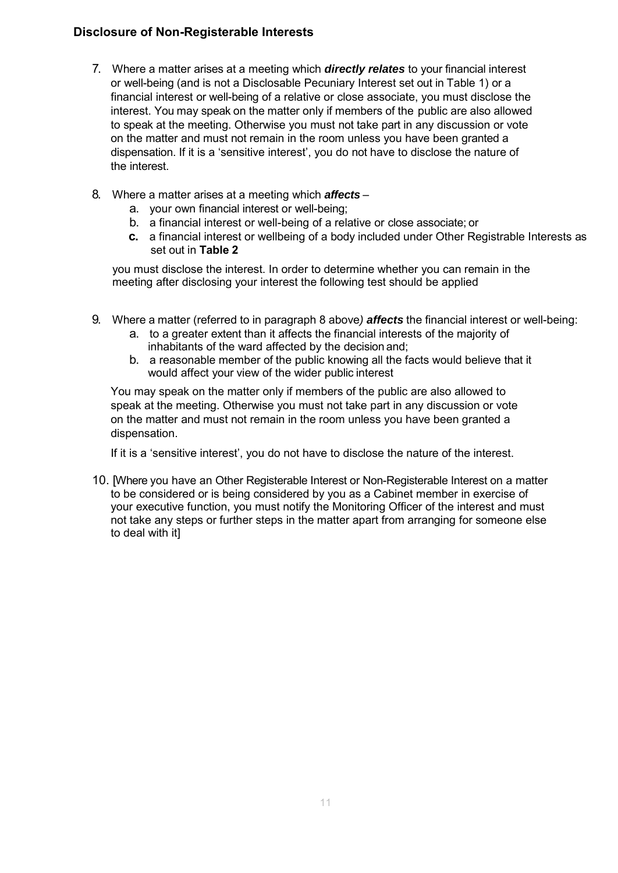# **Disclosure of Non-Registerable Interests**

- 7. Where a matter arises at a meeting which *directly relates* to your financial interest or well-being (and is not a Disclosable Pecuniary Interest set out in Table 1) or a financial interest or well-being of a relative or close associate, you must disclose the interest. You may speak on the matter only if members of the public are also allowed to speak at the meeting. Otherwise you must not take part in any discussion or vote on the matter and must not remain in the room unless you have been granted a dispensation. If it is a 'sensitive interest', you do not have to disclose the nature of the interest.
- 8. Where a matter arises at a meeting which *affects*
	- a. your own financial interest or well-being;
	- b. a financial interest or well-being of a relative or close associate; or
	- **c.** a financial interest or wellbeing of a body included under Other Registrable Interests as set out in **Table 2**

you must disclose the interest. In order to determine whether you can remain in the meeting after disclosing your interest the following test should be applied

- 9. Where a matter (referred to in paragraph 8 above*) affects* the financial interest or well-being:
	- a. to a greater extent than it affects the financial interests of the majority of inhabitants of the ward affected by the decision and;
	- b. a reasonable member of the public knowing all the facts would believe that it would affect your view of the wider public interest

You may speak on the matter only if members of the public are also allowed to speak at the meeting. Otherwise you must not take part in any discussion or vote on the matter and must not remain in the room unless you have been granted a dispensation.

If it is a 'sensitive interest', you do not have to disclose the nature of the interest.

10. [Where you have an Other Registerable Interest or Non-Registerable Interest on a matter to be considered or is being considered by you as a Cabinet member in exercise of your executive function, you must notify the Monitoring Officer of the interest and must not take any steps or further steps in the matter apart from arranging for someone else to deal with it]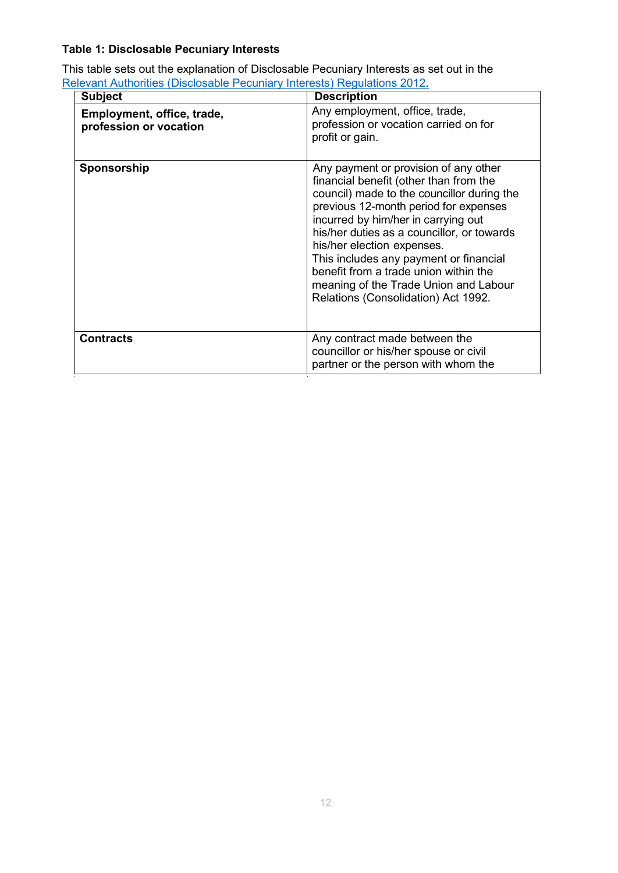# **Table 1: Disclosable Pecuniary Interests**

This table sets out the explanation of Disclosable Pecuniary Interests as set out in the [Relevant Authorities \(Disclosable Pecuniary Interests\) Regulations 2012.](https://www.legislation.gov.uk/uksi/2012/1464/made)

| <b>Subject</b>                                       | <b>Description</b>                                                                                                                                                                                                                                                                                                                                                                                                                                           |
|------------------------------------------------------|--------------------------------------------------------------------------------------------------------------------------------------------------------------------------------------------------------------------------------------------------------------------------------------------------------------------------------------------------------------------------------------------------------------------------------------------------------------|
| Employment, office, trade,<br>profession or vocation | Any employment, office, trade,<br>profession or vocation carried on for<br>profit or gain.                                                                                                                                                                                                                                                                                                                                                                   |
| Sponsorship                                          | Any payment or provision of any other<br>financial benefit (other than from the<br>council) made to the councillor during the<br>previous 12-month period for expenses<br>incurred by him/her in carrying out<br>his/her duties as a councillor, or towards<br>his/her election expenses.<br>This includes any payment or financial<br>benefit from a trade union within the<br>meaning of the Trade Union and Labour<br>Relations (Consolidation) Act 1992. |
| <b>Contracts</b>                                     | Any contract made between the<br>councillor or his/her spouse or civil<br>partner or the person with whom the                                                                                                                                                                                                                                                                                                                                                |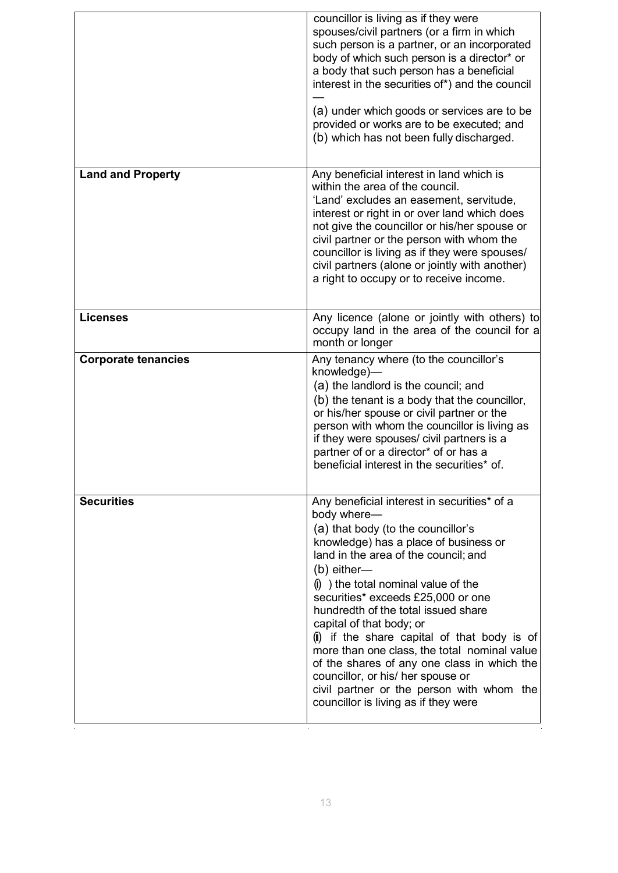|                            | councillor is living as if they were<br>spouses/civil partners (or a firm in which<br>such person is a partner, or an incorporated<br>body of which such person is a director* or<br>a body that such person has a beneficial<br>interest in the securities of*) and the council                                                                                                                                                                                                                                                                                                                                               |
|----------------------------|--------------------------------------------------------------------------------------------------------------------------------------------------------------------------------------------------------------------------------------------------------------------------------------------------------------------------------------------------------------------------------------------------------------------------------------------------------------------------------------------------------------------------------------------------------------------------------------------------------------------------------|
|                            | (a) under which goods or services are to be<br>provided or works are to be executed; and<br>(b) which has not been fully discharged.                                                                                                                                                                                                                                                                                                                                                                                                                                                                                           |
| <b>Land and Property</b>   | Any beneficial interest in land which is<br>within the area of the council.<br>'Land' excludes an easement, servitude,<br>interest or right in or over land which does<br>not give the councillor or his/her spouse or<br>civil partner or the person with whom the<br>councillor is living as if they were spouses/<br>civil partners (alone or jointly with another)<br>a right to occupy or to receive income.                                                                                                                                                                                                              |
| <b>Licenses</b>            | Any licence (alone or jointly with others) to<br>occupy land in the area of the council for a<br>month or longer                                                                                                                                                                                                                                                                                                                                                                                                                                                                                                               |
| <b>Corporate tenancies</b> | Any tenancy where (to the councillor's<br>knowledge)-<br>(a) the landlord is the council; and<br>(b) the tenant is a body that the councillor,<br>or his/her spouse or civil partner or the<br>person with whom the councillor is living as<br>if they were spouses/ civil partners is a<br>partner of or a director* of or has a<br>beneficial interest in the securities* of.                                                                                                                                                                                                                                                |
| <b>Securities</b>          | Any beneficial interest in securities* of a<br>body where-<br>(a) that body (to the councillor's<br>knowledge) has a place of business or<br>land in the area of the council; and<br>$(b)$ either-<br>$(i)$ ) the total nominal value of the<br>securities* exceeds £25,000 or one<br>hundredth of the total issued share<br>capital of that body; or<br>(ii) if the share capital of that body is of<br>more than one class, the total nominal value<br>of the shares of any one class in which the<br>councillor, or his/ her spouse or<br>civil partner or the person with whom the<br>councillor is living as if they were |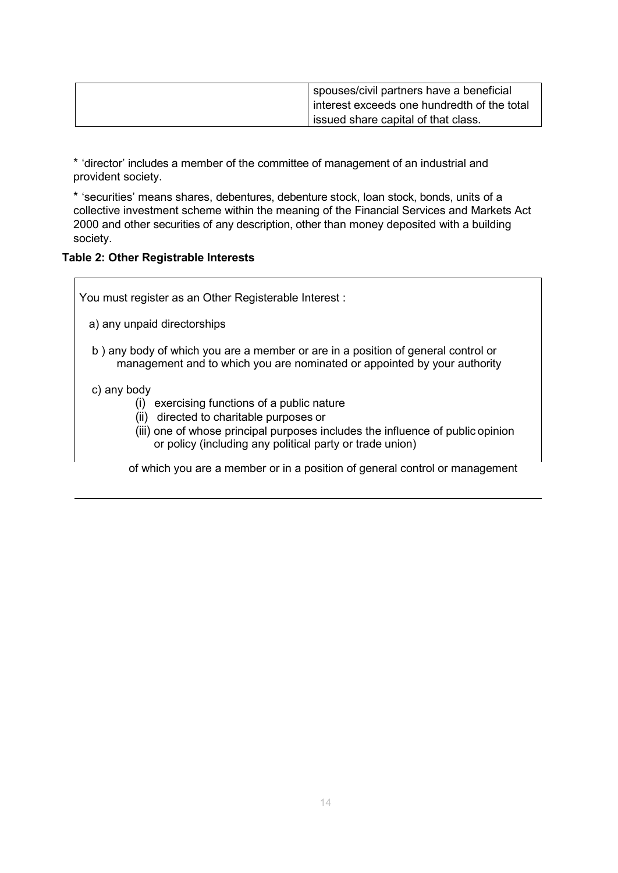| spouses/civil partners have a beneficial      |
|-----------------------------------------------|
| I interest exceeds one hundredth of the total |
| issued share capital of that class.           |

\* 'director' includes a member of the committee of management of an industrial and provident society.

\* 'securities' means shares, debentures, debenture stock, loan stock, bonds, units of a collective investment scheme within the meaning of the Financial Services and Markets Act 2000 and other securities of any description, other than money deposited with a building society.

#### **Table 2: Other Registrable Interests**

You must register as an Other Registerable Interest :

- a) any unpaid directorships
- b ) any body of which you are a member or are in a position of general control or management and to which you are nominated or appointed by your authority

#### c) any body

- (i) exercising functions of a public nature
- (ii) directed to charitable purposes or
- (iii) one of whose principal purposes includes the influence of public opinion or policy (including any political party or trade union)

of which you are a member or in a position of general control or management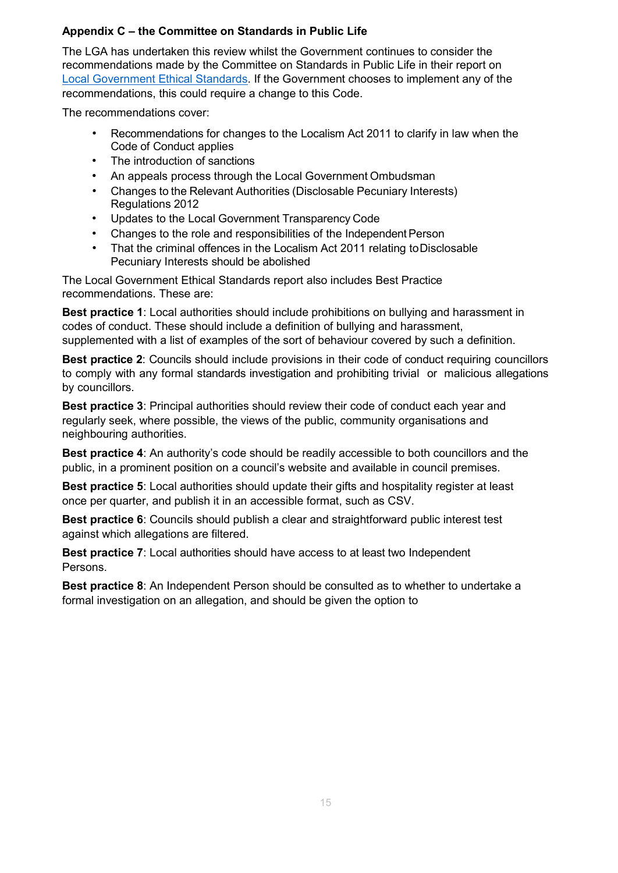#### **Appendix C – the Committee on Standards in Public Life**

The LGA has undertaken this review whilst the Government continues to consider the recommendations made by the Committee on Standards in Public Life in their report on [Local Government Ethical Standards. I](https://www.gov.uk/government/publications/local-government-ethical-standards-report)f the Government chooses to implement any of the recommendations, this could require a change to this Code.

The recommendations cover:

- Recommendations for changes to the Localism Act 2011 to clarify in law when the Code of Conduct applies
- The introduction of sanctions
- An appeals process through the Local Government Ombudsman
- Changes to the Relevant Authorities (Disclosable Pecuniary Interests) Regulations 2012
- Updates to the Local Government Transparency Code
- Changes to the role and responsibilities of the Independent Person
- That the criminal offences in the Localism Act 2011 relating toDisclosable Pecuniary Interests should be abolished

The Local Government Ethical Standards report also includes Best Practice recommendations. These are:

**Best practice 1**: Local authorities should include prohibitions on bullying and harassment in codes of conduct. These should include a definition of bullying and harassment, supplemented with a list of examples of the sort of behaviour covered by such a definition.

**Best practice 2**: Councils should include provisions in their code of conduct requiring councillors to comply with any formal standards investigation and prohibiting trivial or malicious allegations by councillors.

**Best practice 3**: Principal authorities should review their code of conduct each year and regularly seek, where possible, the views of the public, community organisations and neighbouring authorities.

**Best practice 4**: An authority's code should be readily accessible to both councillors and the public, in a prominent position on a council's website and available in council premises.

**Best practice 5**: Local authorities should update their gifts and hospitality register at least once per quarter, and publish it in an accessible format, such as CSV.

**Best practice 6**: Councils should publish a clear and straightforward public interest test against which allegations are filtered.

**Best practice 7**: Local authorities should have access to at least two Independent Persons.

**Best practice 8**: An Independent Person should be consulted as to whether to undertake a formal investigation on an allegation, and should be given the option to